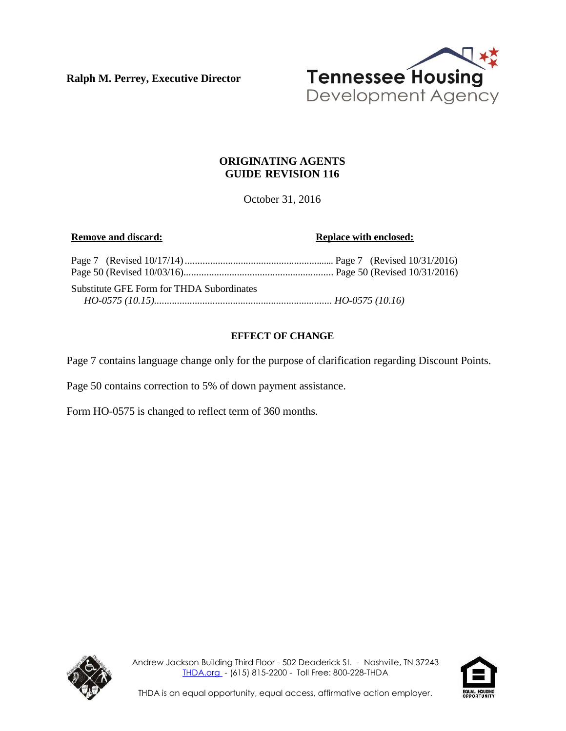**Ralph M. Perrey, Executive Director**



# **ORIGINATING AGENTS GUIDE REVISION 116**

October 31, 2016

**Remove and discard: Replace Replace with enclosed: Replace** *Replace Replace Replace Replace Replace Replace Replace Replace Replace Replace Replace Replace Repla* 

| Substitute GFE Form for THDA Subordinates |  |  |
|-------------------------------------------|--|--|
|                                           |  |  |

# **EFFECT OF CHANGE**

Page 7 contains language change only for the purpose of clarification regarding Discount Points.

Page 50 contains correction to 5% of down payment assistance.

Form HO-0575 is changed to reflect term of 360 months.



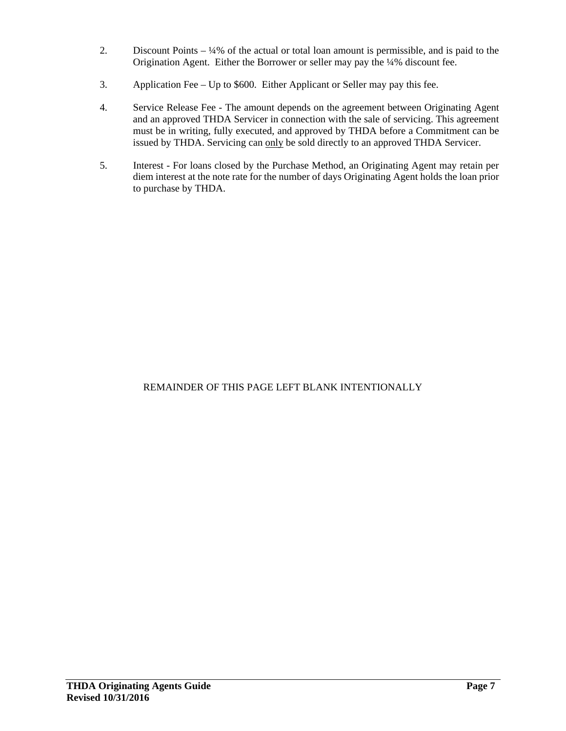- 2. Discount Points ¼% of the actual or total loan amount is permissible, and is paid to the Origination Agent. Either the Borrower or seller may pay the ¼% discount fee.
- 3. Application Fee Up to \$600. Either Applicant or Seller may pay this fee.
- 4. Service Release Fee The amount depends on the agreement between Originating Agent and an approved THDA Servicer in connection with the sale of servicing. This agreement must be in writing, fully executed, and approved by THDA before a Commitment can be issued by THDA. Servicing can only be sold directly to an approved THDA Servicer.
- 5. Interest For loans closed by the Purchase Method, an Originating Agent may retain per diem interest at the note rate for the number of days Originating Agent holds the loan prior to purchase by THDA.

# REMAINDER OF THIS PAGE LEFT BLANK INTENTIONALLY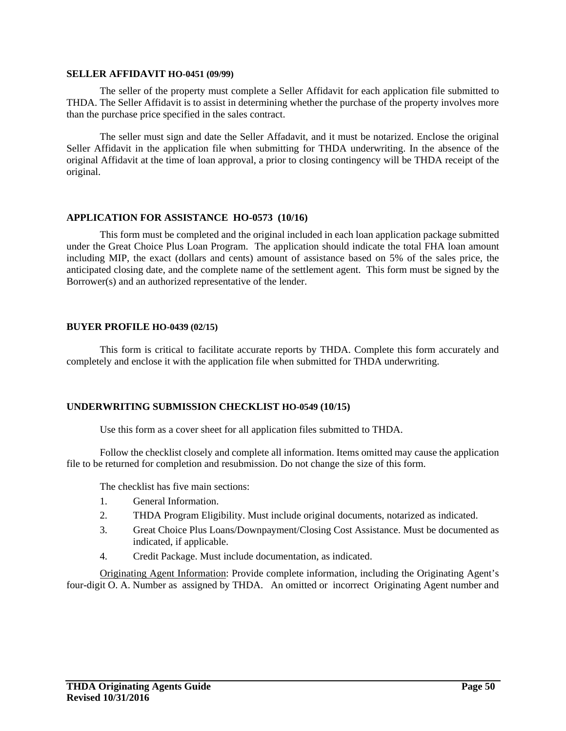#### **SELLER AFFIDAVIT HO-0451 (09/99)**

The seller of the property must complete a Seller Affidavit for each application file submitted to THDA. The Seller Affidavit is to assist in determining whether the purchase of the property involves more than the purchase price specified in the sales contract.

The seller must sign and date the Seller Affadavit, and it must be notarized. Enclose the original Seller Affidavit in the application file when submitting for THDA underwriting. In the absence of the original Affidavit at the time of loan approval, a prior to closing contingency will be THDA receipt of the original.

## **APPLICATION FOR ASSISTANCE HO-0573 (10/16)**

This form must be completed and the original included in each loan application package submitted under the Great Choice Plus Loan Program. The application should indicate the total FHA loan amount including MIP, the exact (dollars and cents) amount of assistance based on 5% of the sales price, the anticipated closing date, and the complete name of the settlement agent. This form must be signed by the Borrower(s) and an authorized representative of the lender.

### **BUYER PROFILE HO-0439 (02/15)**

This form is critical to facilitate accurate reports by THDA. Complete this form accurately and completely and enclose it with the application file when submitted for THDA underwriting.

## **UNDERWRITING SUBMISSION CHECKLIST HO-0549 (10/15)**

Use this form as a cover sheet for all application files submitted to THDA.

Follow the checklist closely and complete all information. Items omitted may cause the application file to be returned for completion and resubmission. Do not change the size of this form.

The checklist has five main sections:

- 1. General Information.
- 2. THDA Program Eligibility. Must include original documents, notarized as indicated.
- 3. Great Choice Plus Loans/Downpayment/Closing Cost Assistance. Must be documented as indicated, if applicable.
- 4. Credit Package. Must include documentation, as indicated.

Originating Agent Information: Provide complete information, including the Originating Agent's four-digit O. A. Number as assigned by THDA. An omitted or incorrect Originating Agent number and